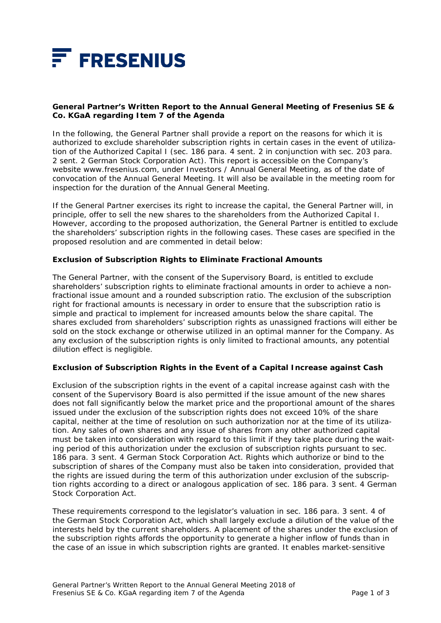

## **General Partner's Written Report to the Annual General Meeting of Fresenius SE & Co. KGaA regarding Item 7 of the Agenda**

In the following, the General Partner shall provide a report on the reasons for which it is authorized to exclude shareholder subscription rights in certain cases in the event of utilization of the Authorized Capital I (sec. 186 para. 4 sent. 2 in conjunction with sec. 203 para. 2 sent. 2 German Stock Corporation Act). This report is accessible on the Company's website www.fresenius.com, under Investors / Annual General Meeting, as of the date of convocation of the Annual General Meeting. It will also be available in the meeting room for inspection for the duration of the Annual General Meeting.

If the General Partner exercises its right to increase the capital, the General Partner will, in principle, offer to sell the new shares to the shareholders from the Authorized Capital I. However, according to the proposed authorization, the General Partner is entitled to exclude the shareholders' subscription rights in the following cases. These cases are specified in the proposed resolution and are commented in detail below:

## *Exclusion of Subscription Rights to Eliminate Fractional Amounts*

The General Partner, with the consent of the Supervisory Board, is entitled to exclude shareholders' subscription rights to eliminate fractional amounts in order to achieve a nonfractional issue amount and a rounded subscription ratio. The exclusion of the subscription right for fractional amounts is necessary in order to ensure that the subscription ratio is simple and practical to implement for increased amounts below the share capital. The shares excluded from shareholders' subscription rights as unassigned fractions will either be sold on the stock exchange or otherwise utilized in an optimal manner for the Company. As any exclusion of the subscription rights is only limited to fractional amounts, any potential dilution effect is negligible.

#### *Exclusion of Subscription Rights in the Event of a Capital Increase against Cash*

Exclusion of the subscription rights in the event of a capital increase against cash with the consent of the Supervisory Board is also permitted if the issue amount of the new shares does not fall significantly below the market price and the proportional amount of the shares issued under the exclusion of the subscription rights does not exceed 10% of the share capital, neither at the time of resolution on such authorization nor at the time of its utilization. Any sales of own shares and any issue of shares from any other authorized capital must be taken into consideration with regard to this limit if they take place during the waiting period of this authorization under the exclusion of subscription rights pursuant to sec. 186 para. 3 sent. 4 German Stock Corporation Act. Rights which authorize or bind to the subscription of shares of the Company must also be taken into consideration, provided that the rights are issued during the term of this authorization under exclusion of the subscription rights according to a direct or analogous application of sec. 186 para. 3 sent. 4 German Stock Corporation Act.

These requirements correspond to the legislator's valuation in sec. 186 para. 3 sent. 4 of the German Stock Corporation Act, which shall largely exclude a dilution of the value of the interests held by the current shareholders. A placement of the shares under the exclusion of the subscription rights affords the opportunity to generate a higher inflow of funds than in the case of an issue in which subscription rights are granted. It enables market-sensitive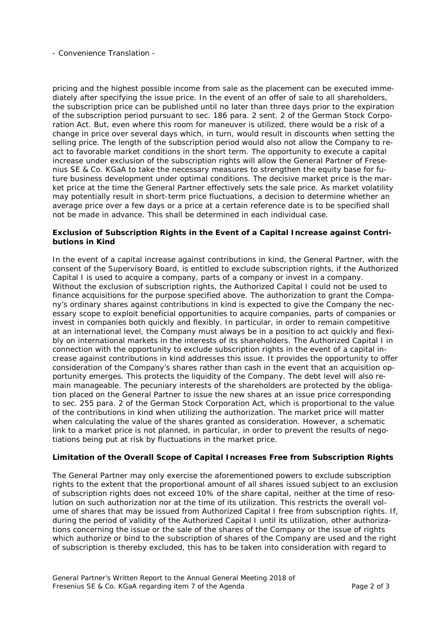- Convenience Translation -

pricing and the highest possible income from sale as the placement can be executed immediately after specifying the issue price. In the event of an offer of sale to all shareholders, the subscription price can be published until no later than three days prior to the expiration of the subscription period pursuant to sec. 186 para. 2 sent. 2 of the German Stock Corporation Act. But, even where this room for maneuver is utilized, there would be a risk of a change in price over several days which, in turn, would result in discounts when setting the selling price. The length of the subscription period would also not allow the Company to react to favorable market conditions in the short term. The opportunity to execute a capital increase under exclusion of the subscription rights will allow the General Partner of Fresenius SE & Co. KGaA to take the necessary measures to strengthen the equity base for future business development under optimal conditions. The decisive market price is the market price at the time the General Partner effectively sets the sale price. As market volatility may potentially result in short-term price fluctuations, a decision to determine whether an average price over a few days or a price at a certain reference date is to be specified shall not be made in advance. This shall be determined in each individual case.

# *Exclusion of Subscription Rights in the Event of a Capital Increase against Contributions in Kind*

In the event of a capital increase against contributions in kind, the General Partner, with the consent of the Supervisory Board, is entitled to exclude subscription rights, if the Authorized Capital I is used to acquire a company, parts of a company or invest in a company. Without the exclusion of subscription rights, the Authorized Capital I could not be used to finance acquisitions for the purpose specified above. The authorization to grant the Company's ordinary shares against contributions in kind is expected to give the Company the necessary scope to exploit beneficial opportunities to acquire companies, parts of companies or invest in companies both quickly and flexibly. In particular, in order to remain competitive at an international level, the Company must always be in a position to act quickly and flexibly on international markets in the interests of its shareholders. The Authorized Capital I in connection with the opportunity to exclude subscription rights in the event of a capital increase against contributions in kind addresses this issue. It provides the opportunity to offer consideration of the Company's shares rather than cash in the event that an acquisition opportunity emerges. This protects the liquidity of the Company. The debt level will also remain manageable. The pecuniary interests of the shareholders are protected by the obligation placed on the General Partner to issue the new shares at an issue price corresponding to sec. 255 para. 2 of the German Stock Corporation Act, which is proportional to the value of the contributions in kind when utilizing the authorization. The market price will matter when calculating the value of the shares granted as consideration. However, a schematic link to a market price is not planned, in particular, in order to prevent the results of negotiations being put at risk by fluctuations in the market price.

## *Limitation of the Overall Scope of Capital Increases Free from Subscription Rights*

The General Partner may only exercise the aforementioned powers to exclude subscription rights to the extent that the proportional amount of all shares issued subject to an exclusion of subscription rights does not exceed 10% of the share capital, neither at the time of resolution on such authorization nor at the time of its utilization. This restricts the overall volume of shares that may be issued from Authorized Capital I free from subscription rights. If, during the period of validity of the Authorized Capital I until its utilization, other authorizations concerning the issue or the sale of the shares of the Company or the issue of rights which authorize or bind to the subscription of shares of the Company are used and the right of subscription is thereby excluded, this has to be taken into consideration with regard to